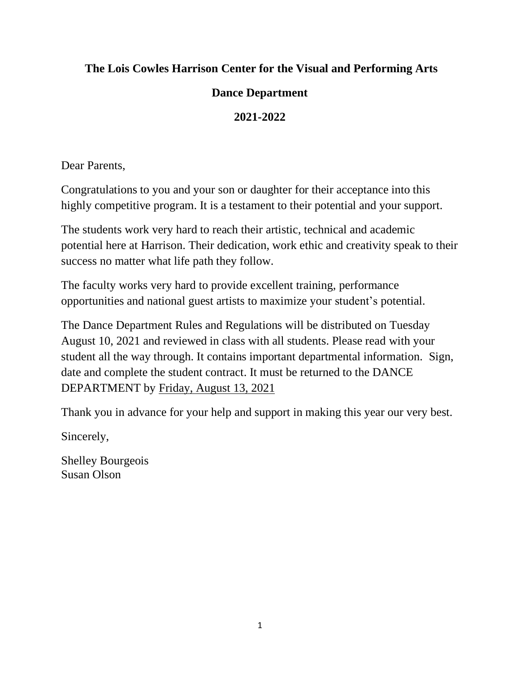### **The Lois Cowles Harrison Center for the Visual and Performing Arts**

### **Dance Department**

### **2021-2022**

Dear Parents,

Congratulations to you and your son or daughter for their acceptance into this highly competitive program. It is a testament to their potential and your support.

The students work very hard to reach their artistic, technical and academic potential here at Harrison. Their dedication, work ethic and creativity speak to their success no matter what life path they follow.

The faculty works very hard to provide excellent training, performance opportunities and national guest artists to maximize your student's potential.

The Dance Department Rules and Regulations will be distributed on Tuesday August 10, 2021 and reviewed in class with all students. Please read with your student all the way through. It contains important departmental information. Sign, date and complete the student contract. It must be returned to the DANCE DEPARTMENT by Friday, August 13, 2021

Thank you in advance for your help and support in making this year our very best.

Sincerely,

Shelley Bourgeois Susan Olson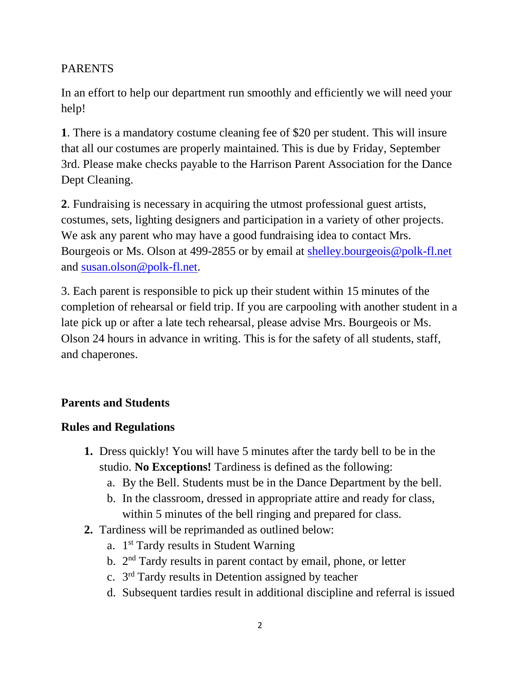### PARENTS

In an effort to help our department run smoothly and efficiently we will need your help!

**1**. There is a mandatory costume cleaning fee of \$20 per student. This will insure that all our costumes are properly maintained. This is due by Friday, September 3rd. Please make checks payable to the Harrison Parent Association for the Dance Dept Cleaning.

**2**. Fundraising is necessary in acquiring the utmost professional guest artists, costumes, sets, lighting designers and participation in a variety of other projects. We ask any parent who may have a good fundraising idea to contact Mrs. Bourgeois or Ms. Olson at 499-2855 or by email at [shelley.bourgeois@polk-fl.net](mailto:shelley.bourgeois@polk-fl.net) and [susan.olson@polk-fl.net.](mailto:susan.olson@polk-fl.net)

3. Each parent is responsible to pick up their student within 15 minutes of the completion of rehearsal or field trip. If you are carpooling with another student in a late pick up or after a late tech rehearsal, please advise Mrs. Bourgeois or Ms. Olson 24 hours in advance in writing. This is for the safety of all students, staff, and chaperones.

# **Parents and Students**

# **Rules and Regulations**

- **1.** Dress quickly! You will have 5 minutes after the tardy bell to be in the studio. **No Exceptions!** Tardiness is defined as the following:
	- a. By the Bell. Students must be in the Dance Department by the bell.
	- b. In the classroom, dressed in appropriate attire and ready for class, within 5 minutes of the bell ringing and prepared for class.
- **2.** Tardiness will be reprimanded as outlined below:
	- a. 1<sup>st</sup> Tardy results in Student Warning
	- b. 2<sup>nd</sup> Tardy results in parent contact by email, phone, or letter
	- c. 3<sup>rd</sup> Tardy results in Detention assigned by teacher
	- d. Subsequent tardies result in additional discipline and referral is issued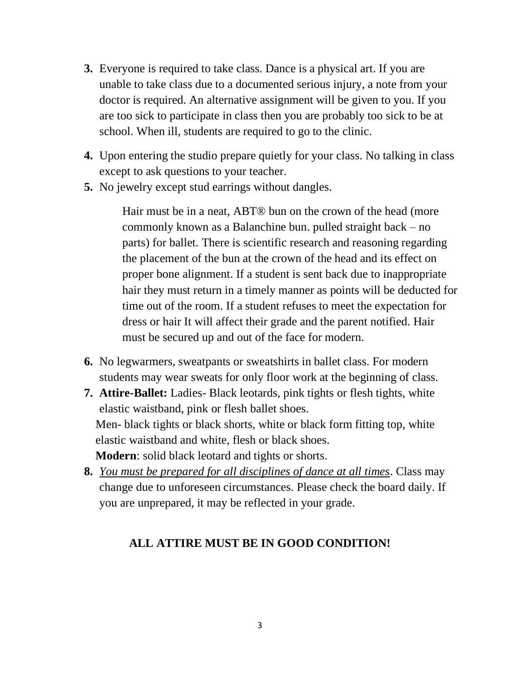- **3.** Everyone is required to take class. Dance is a physical art. If you are unable to take class due to a documented serious injury, a note from your doctor is required. An alternative assignment will be given to you. If you are too sick to participate in class then you are probably too sick to be at school. When ill, students are required to go to the clinic.
- **4.** Upon entering the studio prepare quietly for your class. No talking in class except to ask questions to your teacher.
- **5.** No jewelry except stud earrings without dangles.

Hair must be in a neat, ABT® bun on the crown of the head (more commonly known as a Balanchine bun. pulled straight back – no parts) for ballet. There is scientific research and reasoning regarding the placement of the bun at the crown of the head and its effect on proper bone alignment. If a student is sent back due to inappropriate hair they must return in a timely manner as points will be deducted for time out of the room. If a student refuses to meet the expectation for dress or hair It will affect their grade and the parent notified. Hair must be secured up and out of the face for modern.

- **6.** No legwarmers, sweatpants or sweatshirts in ballet class. For modern students may wear sweats for only floor work at the beginning of class.
- **7. Attire-Ballet:** Ladies- Black leotards, pink tights or flesh tights, white elastic waistband, pink or flesh ballet shoes. Men- black tights or black shorts, white or black form fitting top, white elastic waistband and white, flesh or black shoes. **Modern**: solid black leotard and tights or shorts.
- **8.** *You must be prepared for all disciplines of dance at all times*. Class may change due to unforeseen circumstances. Please check the board daily. If you are unprepared, it may be reflected in your grade.

### **ALL ATTIRE MUST BE IN GOOD CONDITION!**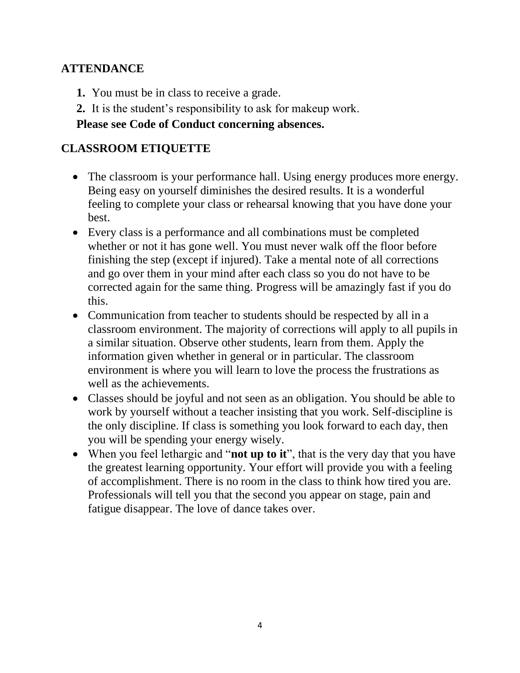## **ATTENDANCE**

- **1.** You must be in class to receive a grade.
- **2.** It is the student's responsibility to ask for makeup work.

### **Please see Code of Conduct concerning absences.**

## **CLASSROOM ETIQUETTE**

- The classroom is your performance hall. Using energy produces more energy. Being easy on yourself diminishes the desired results. It is a wonderful feeling to complete your class or rehearsal knowing that you have done your best.
- Every class is a performance and all combinations must be completed whether or not it has gone well. You must never walk off the floor before finishing the step (except if injured). Take a mental note of all corrections and go over them in your mind after each class so you do not have to be corrected again for the same thing. Progress will be amazingly fast if you do this.
- Communication from teacher to students should be respected by all in a classroom environment. The majority of corrections will apply to all pupils in a similar situation. Observe other students, learn from them. Apply the information given whether in general or in particular. The classroom environment is where you will learn to love the process the frustrations as well as the achievements.
- Classes should be joyful and not seen as an obligation. You should be able to work by yourself without a teacher insisting that you work. Self-discipline is the only discipline. If class is something you look forward to each day, then you will be spending your energy wisely.
- When you feel lethargic and "**not up to it**", that is the very day that you have the greatest learning opportunity. Your effort will provide you with a feeling of accomplishment. There is no room in the class to think how tired you are. Professionals will tell you that the second you appear on stage, pain and fatigue disappear. The love of dance takes over.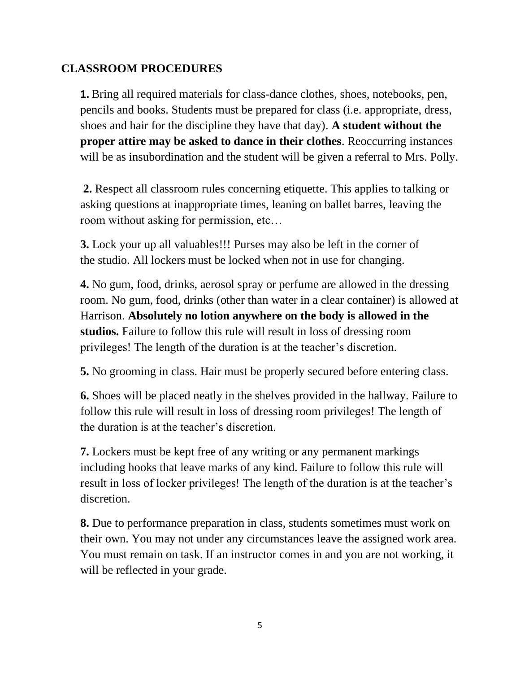### **CLASSROOM PROCEDURES**

**1.** Bring all required materials for class-dance clothes, shoes, notebooks, pen, pencils and books. Students must be prepared for class (i.e. appropriate, dress, shoes and hair for the discipline they have that day). **A student without the proper attire may be asked to dance in their clothes**. Reoccurring instances will be as insubordination and the student will be given a referral to Mrs. Polly.

**2.** Respect all classroom rules concerning etiquette. This applies to talking or asking questions at inappropriate times, leaning on ballet barres, leaving the room without asking for permission, etc…

**3.** Lock your up all valuables!!! Purses may also be left in the corner of the studio. All lockers must be locked when not in use for changing.

**4.** No gum, food, drinks, aerosol spray or perfume are allowed in the dressing room. No gum, food, drinks (other than water in a clear container) is allowed at Harrison. **Absolutely no lotion anywhere on the body is allowed in the studios.** Failure to follow this rule will result in loss of dressing room privileges! The length of the duration is at the teacher's discretion.

**5.** No grooming in class. Hair must be properly secured before entering class.

**6.** Shoes will be placed neatly in the shelves provided in the hallway. Failure to follow this rule will result in loss of dressing room privileges! The length of the duration is at the teacher's discretion.

**7.** Lockers must be kept free of any writing or any permanent markings including hooks that leave marks of any kind. Failure to follow this rule will result in loss of locker privileges! The length of the duration is at the teacher's discretion.

**8.** Due to performance preparation in class, students sometimes must work on their own. You may not under any circumstances leave the assigned work area. You must remain on task. If an instructor comes in and you are not working, it will be reflected in your grade.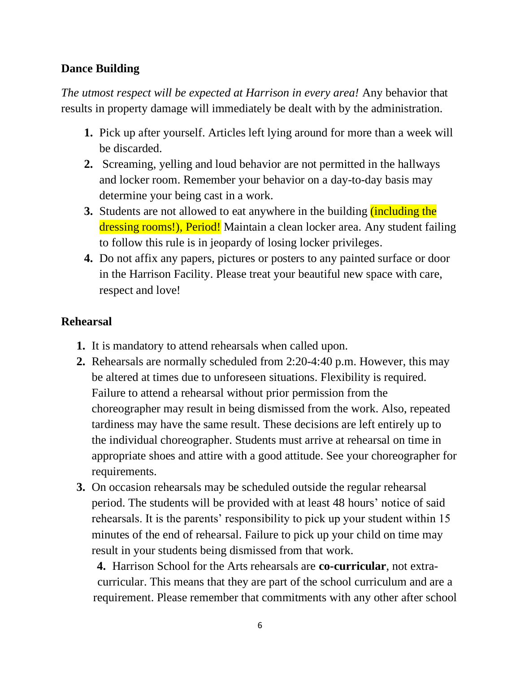### **Dance Building**

*The utmost respect will be expected at Harrison in every area!* Any behavior that results in property damage will immediately be dealt with by the administration.

- **1.** Pick up after yourself. Articles left lying around for more than a week will be discarded.
- **2.** Screaming, yelling and loud behavior are not permitted in the hallways and locker room. Remember your behavior on a day-to-day basis may determine your being cast in a work.
- **3.** Students are not allowed to eat anywhere in the building *(including the*) dressing rooms!), Period! Maintain a clean locker area. Any student failing to follow this rule is in jeopardy of losing locker privileges.
- **4.** Do not affix any papers, pictures or posters to any painted surface or door in the Harrison Facility. Please treat your beautiful new space with care, respect and love!

# **Rehearsal**

- **1.** It is mandatory to attend rehearsals when called upon.
- **2.** Rehearsals are normally scheduled from 2:20-4:40 p.m. However, this may be altered at times due to unforeseen situations. Flexibility is required. Failure to attend a rehearsal without prior permission from the choreographer may result in being dismissed from the work. Also, repeated tardiness may have the same result. These decisions are left entirely up to the individual choreographer. Students must arrive at rehearsal on time in appropriate shoes and attire with a good attitude. See your choreographer for requirements.
- **3.** On occasion rehearsals may be scheduled outside the regular rehearsal period. The students will be provided with at least 48 hours' notice of said rehearsals. It is the parents' responsibility to pick up your student within 15 minutes of the end of rehearsal. Failure to pick up your child on time may result in your students being dismissed from that work.

**4.** Harrison School for the Arts rehearsals are **co-curricular**, not extracurricular. This means that they are part of the school curriculum and are a requirement. Please remember that commitments with any other after school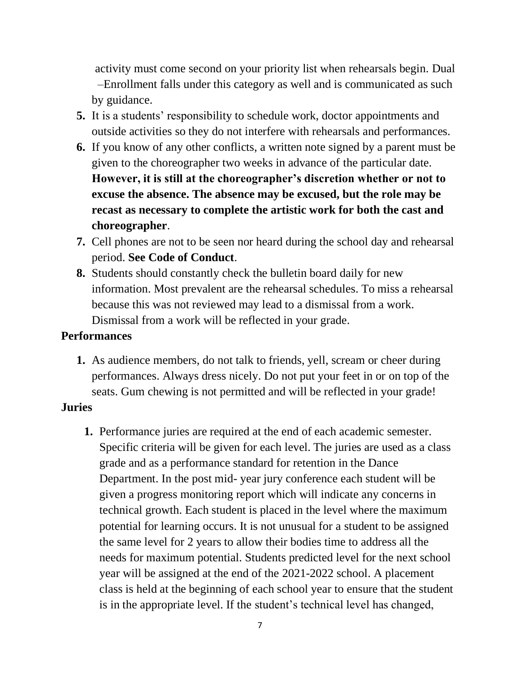activity must come second on your priority list when rehearsals begin. Dual –Enrollment falls under this category as well and is communicated as such by guidance.

- **5.** It is a students' responsibility to schedule work, doctor appointments and outside activities so they do not interfere with rehearsals and performances.
- **6.** If you know of any other conflicts, a written note signed by a parent must be given to the choreographer two weeks in advance of the particular date. **However, it is still at the choreographer's discretion whether or not to excuse the absence. The absence may be excused, but the role may be recast as necessary to complete the artistic work for both the cast and choreographer**.
- **7.** Cell phones are not to be seen nor heard during the school day and rehearsal period. **See Code of Conduct**.
- **8.** Students should constantly check the bulletin board daily for new information. Most prevalent are the rehearsal schedules. To miss a rehearsal because this was not reviewed may lead to a dismissal from a work. Dismissal from a work will be reflected in your grade.

#### **Performances**

**1.** As audience members, do not talk to friends, yell, scream or cheer during performances. Always dress nicely. Do not put your feet in or on top of the seats. Gum chewing is not permitted and will be reflected in your grade!

#### **Juries**

**1.** Performance juries are required at the end of each academic semester. Specific criteria will be given for each level. The juries are used as a class grade and as a performance standard for retention in the Dance Department. In the post mid- year jury conference each student will be given a progress monitoring report which will indicate any concerns in technical growth. Each student is placed in the level where the maximum potential for learning occurs. It is not unusual for a student to be assigned the same level for 2 years to allow their bodies time to address all the needs for maximum potential. Students predicted level for the next school year will be assigned at the end of the 2021-2022 school. A placement class is held at the beginning of each school year to ensure that the student is in the appropriate level. If the student's technical level has changed,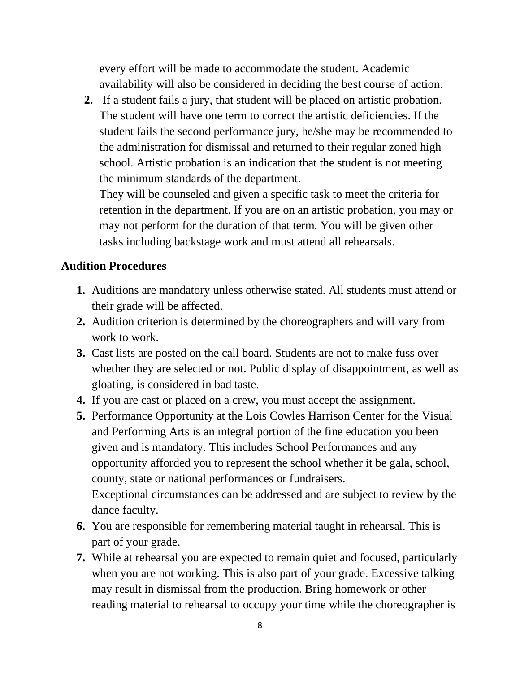every effort will be made to accommodate the student. Academic availability will also be considered in deciding the best course of action.

**2.** If a student fails a jury, that student will be placed on artistic probation. The student will have one term to correct the artistic deficiencies. If the student fails the second performance jury, he/she may be recommended to the administration for dismissal and returned to their regular zoned high school. Artistic probation is an indication that the student is not meeting the minimum standards of the department.

They will be counseled and given a specific task to meet the criteria for retention in the department. If you are on an artistic probation, you may or may not perform for the duration of that term. You will be given other tasks including backstage work and must attend all rehearsals.

### **Audition Procedures**

- **1.** Auditions are mandatory unless otherwise stated. All students must attend or their grade will be affected.
- **2.** Audition criterion is determined by the choreographers and will vary from work to work.
- **3.** Cast lists are posted on the call board. Students are not to make fuss over whether they are selected or not. Public display of disappointment, as well as gloating, is considered in bad taste.
- **4.** If you are cast or placed on a crew, you must accept the assignment.
- **5.** Performance Opportunity at the Lois Cowles Harrison Center for the Visual and Performing Arts is an integral portion of the fine education you been given and is mandatory. This includes School Performances and any opportunity afforded you to represent the school whether it be gala, school, county, state or national performances or fundraisers. Exceptional circumstances can be addressed and are subject to review by the dance faculty.
- **6.** You are responsible for remembering material taught in rehearsal. This is part of your grade.
- **7.** While at rehearsal you are expected to remain quiet and focused, particularly when you are not working. This is also part of your grade. Excessive talking may result in dismissal from the production. Bring homework or other reading material to rehearsal to occupy your time while the choreographer is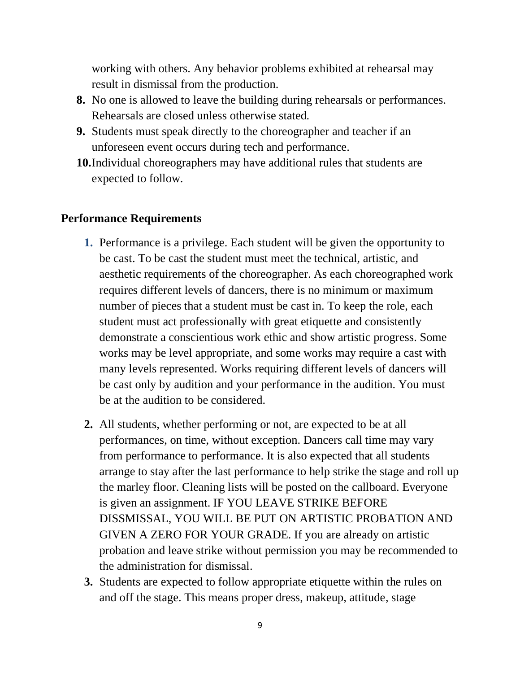working with others. Any behavior problems exhibited at rehearsal may result in dismissal from the production.

- **8.** No one is allowed to leave the building during rehearsals or performances. Rehearsals are closed unless otherwise stated.
- **9.** Students must speak directly to the choreographer and teacher if an unforeseen event occurs during tech and performance.
- **10.**Individual choreographers may have additional rules that students are expected to follow.

#### **Performance Requirements**

- **1.** Performance is a privilege. Each student will be given the opportunity to be cast. To be cast the student must meet the technical, artistic, and aesthetic requirements of the choreographer. As each choreographed work requires different levels of dancers, there is no minimum or maximum number of pieces that a student must be cast in. To keep the role, each student must act professionally with great etiquette and consistently demonstrate a conscientious work ethic and show artistic progress. Some works may be level appropriate, and some works may require a cast with many levels represented. Works requiring different levels of dancers will be cast only by audition and your performance in the audition. You must be at the audition to be considered.
- **2.** All students, whether performing or not, are expected to be at all performances, on time, without exception. Dancers call time may vary from performance to performance. It is also expected that all students arrange to stay after the last performance to help strike the stage and roll up the marley floor. Cleaning lists will be posted on the callboard. Everyone is given an assignment. IF YOU LEAVE STRIKE BEFORE DISSMISSAL, YOU WILL BE PUT ON ARTISTIC PROBATION AND GIVEN A ZERO FOR YOUR GRADE. If you are already on artistic probation and leave strike without permission you may be recommended to the administration for dismissal.
- **3.** Students are expected to follow appropriate etiquette within the rules on and off the stage. This means proper dress, makeup, attitude, stage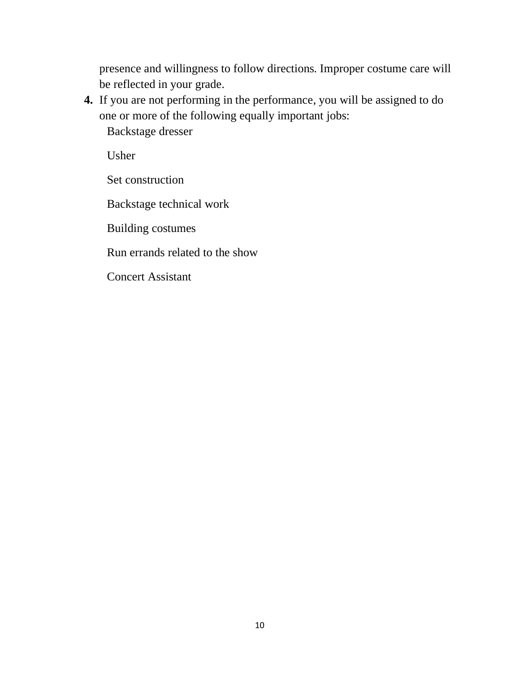presence and willingness to follow directions. Improper costume care will be reflected in your grade.

**4.** If you are not performing in the performance, you will be assigned to do one or more of the following equally important jobs:

Backstage dresser

Usher

Set construction

Backstage technical work

Building costumes

Run errands related to the show

Concert Assistant